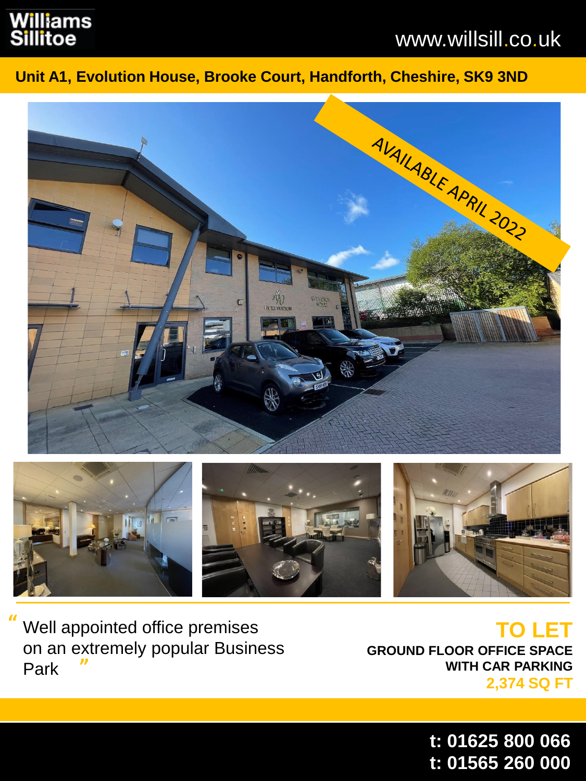# Williams llitoe

# www.willsill.co.uk

### **Unit A1, Evolution House, Brooke Court, Handforth, Cheshire, SK9 3ND**





Well appointed office premises on an extremely popular Business **"**  Park **"**

**TO LET GROUND FLOOR OFFICE SPACE WITH CAR PARKING 2,374 SQ FT**

> **t: 01625 800 066 t: 01565 260 000**